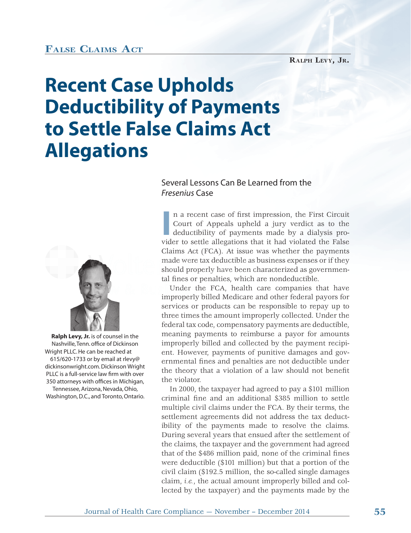## **FALSE CLAIMS ACT**

**RALPH LEVY, JR.**

## **Recent Case Upholds Deductibility of Payments to Settle False Claims Act Allegations**

## Several Lessons Can Be Learned from the *Fresenius* Case



**Ralph Levy, Jr.** is of counsel in the Nashville, Tenn. office of Dickinson Wright PLLC. He can be reached at 615/620-1733 or by email at rlevy@ dickinsonwright.com. Dickinson Wright PLLC is a full-service law firm with over 350 attorneys with offices in Michigan, Tennessee, Arizona, Nevada, Ohio, Washington, D.C., and Toronto, Ontario. In a recent case of first impression, the First Circuit Court of Appeals upheld a jury verdict as to the deductibility of payments made by a dialysis provider to settle allegations that it had violated the False n a recent case of first impression, the First Circuit Court of Appeals upheld a jury verdict as to the deductibility of payments made by a dialysis pro-Claims Act (FCA). At issue was whether the payments made were tax deductible as business expenses or if they should properly have been characterized as governmental fines or penalties, which are nondeductible.

Under the FCA, health care companies that have Under t improperly billed Medicare and other federal payors for l services or products can be responsible to repay up to three times the amount improperly collected. Under the federal tax code, compensatory payments are deductible, meaning payments to reimburse a payor for amounts improperly billed and collected by the payment recipient. However, payments of punitive damages and governmental fines and penalties are not deductible under the theory that a violation of a law should not benefit the violator.

In 2000, the taxpayer had agreed to pay a \$101 million criminal fine and an additional \$385 million to settle multiple civil claims under the FCA. By their terms, the settlement agreements did not address the tax deductibility of the payments made to resolve the claims. During several years that ensued after the settlement of the claims, the taxpayer and the government had agreed that of the \$486 million paid, none of the criminal fines were deductible (\$101 million) but that a portion of the civil claim (\$192.5 million, the so-called single damages claim, *i.e.*, the actual amount improperly billed and collected by the taxpayer) and the payments made by the